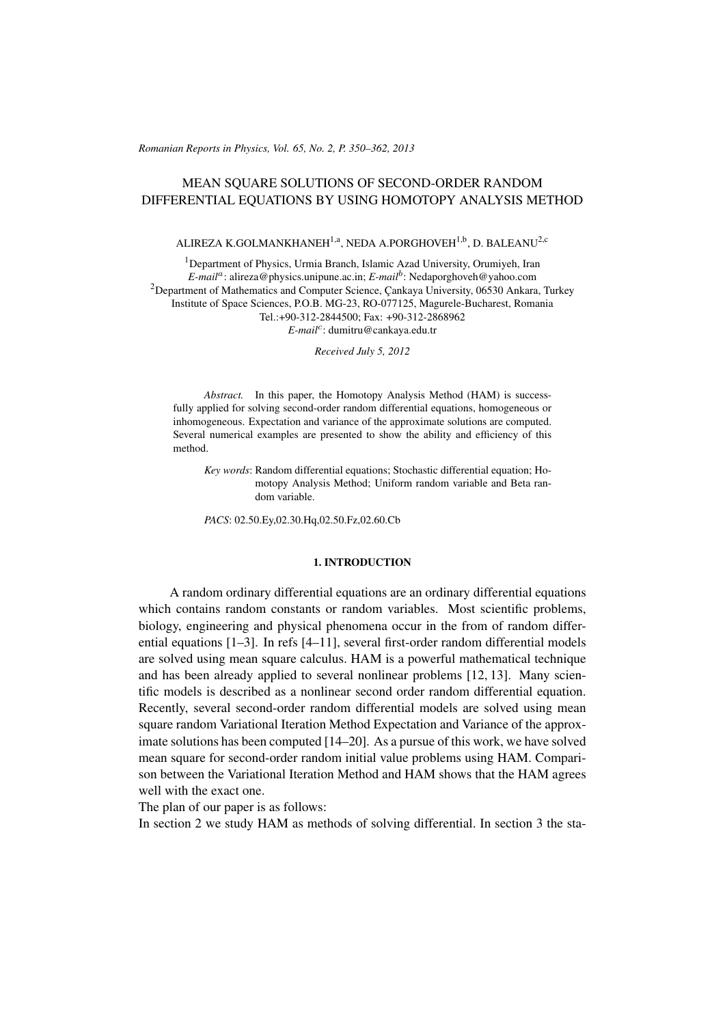(c) RRP 65(No. 2) 350–362 2013 *Romanian Reports in Physics, Vol. 65, No. 2, P. 350–362, 2013*

# MEAN SQUARE SOLUTIONS OF SECOND-ORDER RANDOM DIFFERENTIAL EQUATIONS BY USING HOMOTOPY ANALYSIS METHOD

# ALIREZA K.GOLMANKHANEH<sup>1,a</sup>, NEDA A.PORGHOVEH<sup>1,b</sup>, D. BALEANU<sup>2,c</sup>

<sup>1</sup>Department of Physics, Urmia Branch, Islamic Azad University, Orumiyeh, Iran *E-mail<sup>a</sup>* : alireza@physics.unipune.ac.in; *E-mail<sup>b</sup>* : Nedaporghoveh@yahoo.com  $2$ Department of Mathematics and Computer Science, Cankaya University, 06530 Ankara, Turkey Institute of Space Sciences, P.O.B. MG-23, RO-077125, Magurele-Bucharest, Romania Tel.:+90-312-2844500; Fax: +90-312-2868962 *E-mail<sup>c</sup>* : dumitru@cankaya.edu.tr

*Received July 5, 2012*

*Abstract.* In this paper, the Homotopy Analysis Method (HAM) is successfully applied for solving second-order random differential equations, homogeneous or inhomogeneous. Expectation and variance of the approximate solutions are computed. Several numerical examples are presented to show the ability and efficiency of this method.

*Key words*: Random differential equations; Stochastic differential equation; Homotopy Analysis Method; Uniform random variable and Beta random variable.

*PACS*: 02.50.Ey,02.30.Hq,02.50.Fz,02.60.Cb

### 1. INTRODUCTION

A random ordinary differential equations are an ordinary differential equations which contains random constants or random variables. Most scientific problems, biology, engineering and physical phenomena occur in the from of random differential equations [1–3]. In refs [4–11], several first-order random differential models are solved using mean square calculus. HAM is a powerful mathematical technique and has been already applied to several nonlinear problems [12, 13]. Many scientific models is described as a nonlinear second order random differential equation. Recently, several second-order random differential models are solved using mean square random Variational Iteration Method Expectation and Variance of the approximate solutions has been computed [14–20]. As a pursue of this work, we have solved mean square for second-order random initial value problems using HAM. Comparison between the Variational Iteration Method and HAM shows that the HAM agrees well with the exact one.

The plan of our paper is as follows:

In section 2 we study HAM as methods of solving differential. In section 3 the sta-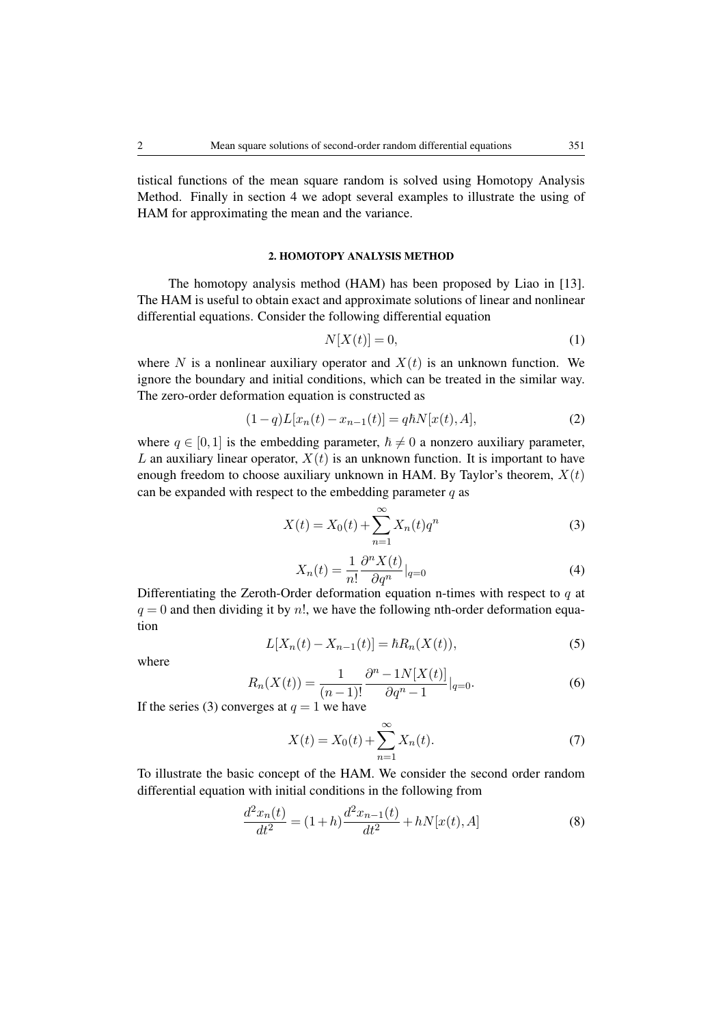tistical functions of the mean square random is solved using Homotopy Analysis Method. Finally in section 4 we adopt several examples to illustrate the using of HAM for approximating the mean and the variance.

## 2. HOMOTOPY ANALYSIS METHOD

The homotopy analysis method (HAM) has been proposed by Liao in [13]. The HAM is useful to obtain exact and approximate solutions of linear and nonlinear differential equations. Consider the following differential equation

$$
N[X(t)] = 0,\t\t(1)
$$

where *N* is a nonlinear auxiliary operator and  $X(t)$  is an unknown function. We ignore the boundary and initial conditions, which can be treated in the similar way. The zero-order deformation equation is constructed as

$$
(1-q)L[x_n(t) - x_{n-1}(t)] = q\hbar N[x(t), A],
$$
\n(2)

where  $q \in [0,1]$  is the embedding parameter,  $\hbar \neq 0$  a nonzero auxiliary parameter, *L* an auxiliary linear operator,  $X(t)$  is an unknown function. It is important to have enough freedom to choose auxiliary unknown in HAM. By Taylor's theorem,  $X(t)$ can be expanded with respect to the embedding parameter *q* as

$$
X(t) = X_0(t) + \sum_{n=1}^{\infty} X_n(t) q^n
$$
 (3)

$$
X_n(t) = \frac{1}{n!} \frac{\partial^n X(t)}{\partial q^n} \Big|_{q=0} \tag{4}
$$

Differentiating the Zeroth-Order deformation equation n-times with respect to *q* at  $q = 0$  and then dividing it by  $n!$ , we have the following nth-order deformation equation

$$
L[X_n(t) - X_{n-1}(t)] = \hbar R_n(X(t)),
$$
\n(5)

where

$$
R_n(X(t)) = \frac{1}{(n-1)!} \frac{\partial^n - 1N[X(t)]}{\partial q^n - 1} |_{q=0}.
$$
 (6)

If the series (3) converges at  $q = 1$  we have

$$
X(t) = X_0(t) + \sum_{n=1}^{\infty} X_n(t).
$$
 (7)

To illustrate the basic concept of the HAM. We consider the second order random differential equation with initial conditions in the following from

$$
\frac{d^2x_n(t)}{dt^2} = (1+h)\frac{d^2x_{n-1}(t)}{dt^2} + hN[x(t),A]
$$
\n(8)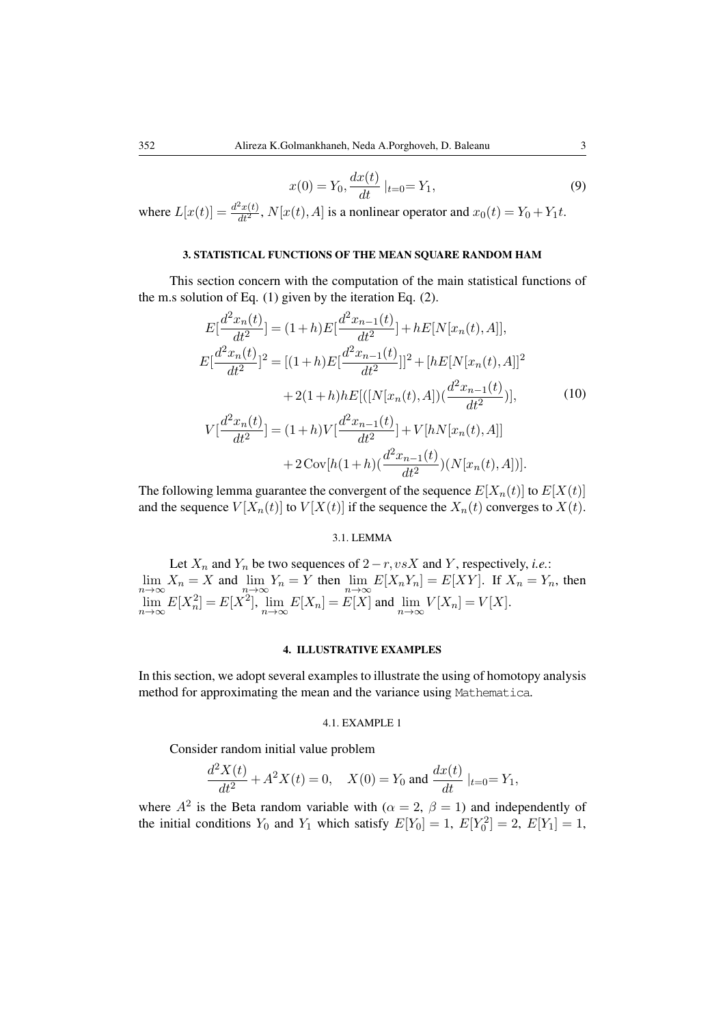$$
x(0) = Y_0, \frac{dx(t)}{dt} \mid_{t=0} = Y_1,
$$
\n(9)

where  $L[x(t)] = \frac{d^2x(t)}{dt^2}$ ,  $N[x(t), A]$  is a nonlinear operator and  $x_0(t) = Y_0 + Y_1 t$ .

## 3. STATISTICAL FUNCTIONS OF THE MEAN SQUARE RANDOM HAM

This section concern with the computation of the main statistical functions of the m.s solution of Eq. (1) given by the iteration Eq. (2).

$$
E\left[\frac{d^2x_n(t)}{dt^2}\right] = (1+h)E\left[\frac{d^2x_{n-1}(t)}{dt^2}\right] + hE[N[x_n(t),A]],
$$
  
\n
$$
E\left[\frac{d^2x_n(t)}{dt^2}\right]^2 = [(1+h)E\left[\frac{d^2x_{n-1}(t)}{dt^2}\right]]^2 + [hE[N[x_n(t),A]]^2
$$
  
\n
$$
+ 2(1+h)hE[([N[x_n(t),A])(\frac{d^2x_{n-1}(t)}{dt^2})],
$$
  
\n
$$
V\left[\frac{d^2x_n(t)}{dt^2}\right] = (1+h)V\left[\frac{d^2x_{n-1}(t)}{dt^2}\right] + V[hN[x_n(t),A]]
$$
  
\n
$$
+ 2\operatorname{Cov}[h(1+h)(\frac{d^2x_{n-1}(t)}{dt^2})(N[x_n(t),A])].
$$
\n(10)

The following lemma guarantee the convergent of the sequence  $E[X_n(t)]$  to  $E[X(t)]$ and the sequence  $V[X_n(t)]$  to  $V[X(t)]$  if the sequence the  $X_n(t)$  converges to  $X(t)$ .

#### 3.1. LEMMA

Let  $X_n$  and  $Y_n$  be two sequences of  $2 - r, vsX$  and  $Y$ , respectively, *i.e.*:  $\lim_{n \to \infty} X_n = X$  and  $\lim_{n \to \infty} Y_n = Y$  then  $\lim_{n \to \infty} E[X_n Y_n] = E[XY]$ . If  $X_n = Y_n$ , then  $\lim_{n \to \infty} E[X_n^2] = E[X^2]$ ,  $\lim_{n \to \infty} E[X_n] = E[X]$  and  $\lim_{n \to \infty} V[X_n] = V[X]$ .

## 4. ILLUSTRATIVE EXAMPLES

In this section, we adopt several examples to illustrate the using of homotopy analysis method for approximating the mean and the variance using Mathematica.

#### 4.1. EXAMPLE 1

Consider random initial value problem

$$
\frac{d^2X(t)}{dt^2}+A^2X(t)=0,\quad X(0)=Y_0\text{ and }\frac{dx(t)}{dt}\mid_{t=0}=Y_1,
$$

where  $A^2$  is the Beta random variable with ( $\alpha = 2$ ,  $\beta = 1$ ) and independently of the initial conditions  $Y_0$  and  $Y_1$  which satisfy  $E[Y_0] = 1$ ,  $E[Y_0^2] = 2$ ,  $E[Y_1] = 1$ ,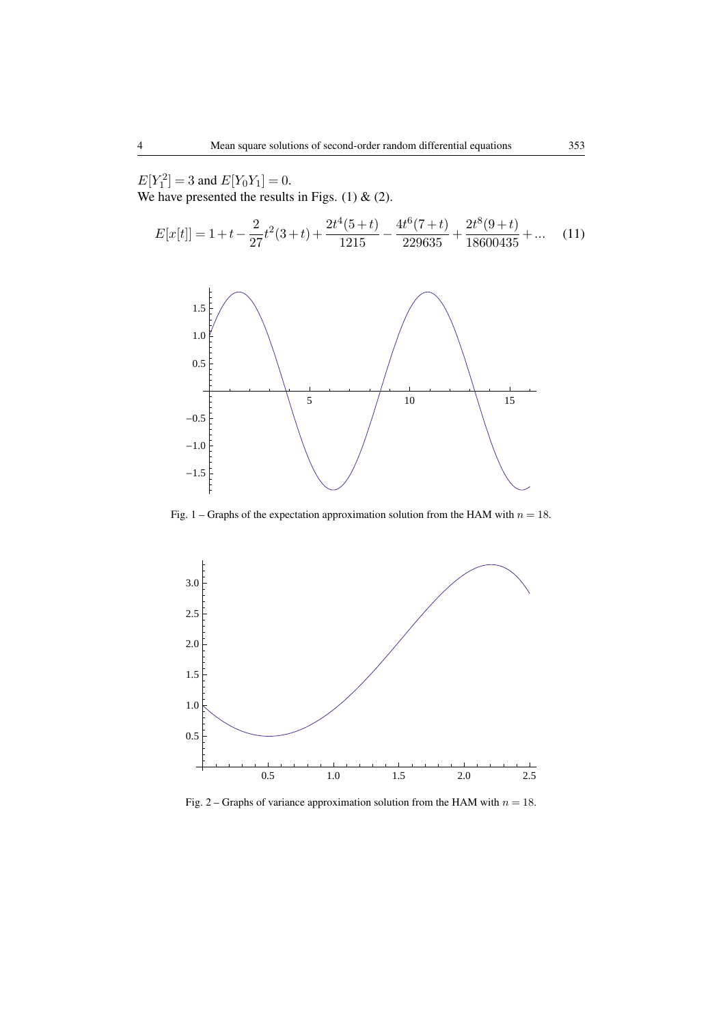$E[Y_1^2] = 3$  and  $E[Y_0Y_1] = 0$ .

We have presented the results in Figs.  $(1)$  &  $(2)$ .

$$
E[x[t]] = 1 + t - \frac{2}{27}t^2(3+t) + \frac{2t^4(5+t)}{1215} - \frac{4t^6(7+t)}{229635} + \frac{2t^8(9+t)}{18600435} + \dots
$$
 (11)



Fig. 1 – Graphs of the expectation approximation solution from the HAM with  $n = 18$ .



Fig. 2 – Graphs of variance approximation solution from the HAM with  $n = 18$ .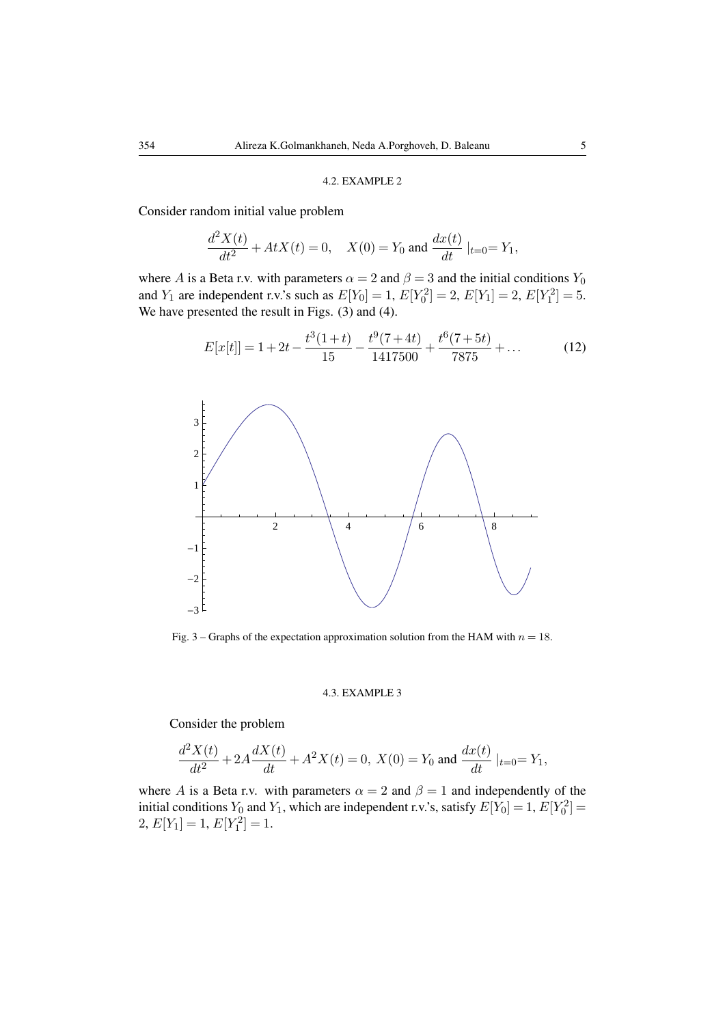### 4.2. EXAMPLE 2

Consider random initial value problem

$$
\frac{d^2X(t)}{dt^2} + AtX(t) = 0, \quad X(0) = Y_0 \text{ and } \frac{dx(t)}{dt}|_{t=0} = Y_1,
$$

where *A* is a Beta r.v. with parameters  $\alpha = 2$  and  $\beta = 3$  and the initial conditions  $Y_0$ and *Y*<sub>1</sub> are independent r.v.'s such as  $E[Y_0] = 1$ ,  $E[Y_0^2] = 2$ ,  $E[Y_1] = 2$ ,  $E[Y_1^2] = 5$ . We have presented the result in Figs. (3) and (4).

$$
E[x[t]] = 1 + 2t - \frac{t^3(1+t)}{15} - \frac{t^9(7+4t)}{1417500} + \frac{t^6(7+5t)}{7875} + \dots
$$
 (12)



Fig. 3 – Graphs of the expectation approximation solution from the HAM with *n* = 18.

#### 4.3. EXAMPLE 3

Consider the problem

$$
\frac{d^2X(t)}{dt^2}+2A\frac{dX(t)}{dt}+A^2X(t)=0,\text{ } X(0)=Y_0 \text{ and } \frac{dx(t)}{dt}|_{t=0}=Y_1,
$$

where *A* is a Beta r.v. with parameters  $\alpha = 2$  and  $\beta = 1$  and independently of the initial conditions  $Y_0$  and  $Y_1$ , which are independent r.v.'s, satisfy  $E[Y_0] = 1$ ,  $E[Y_0^2] =$  $2, E[Y_1] = 1, E[Y_1^2] = 1.$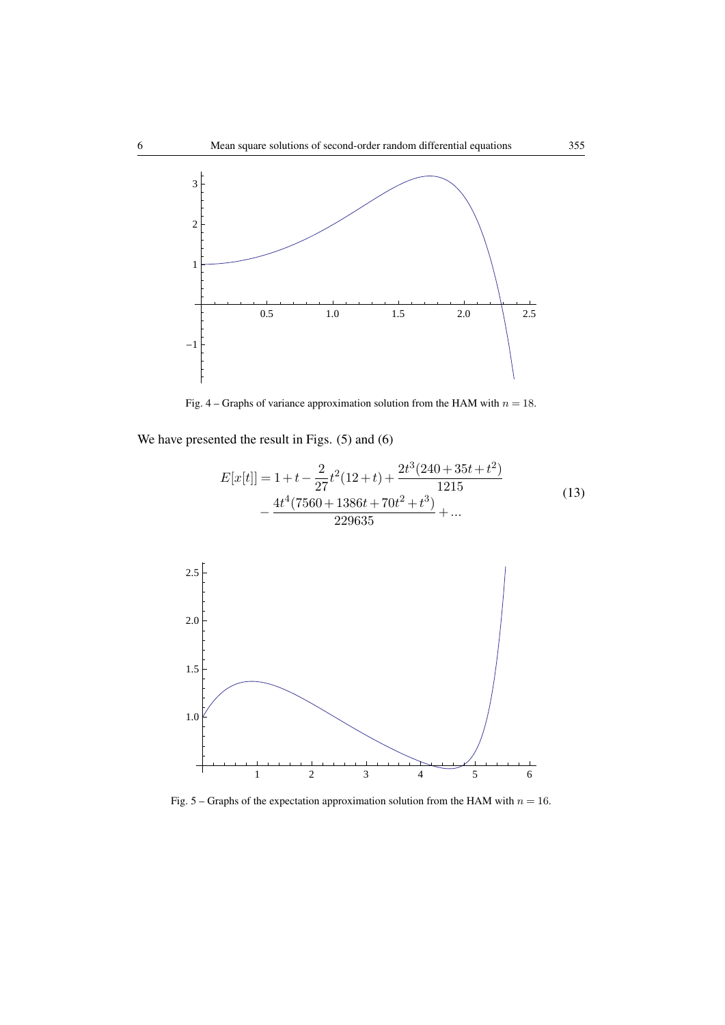

Fig. 4 – Graphs of variance approximation solution from the HAM with *n* = 18.

We have presented the result in Figs.  $(5)$  and  $(6)$ 

$$
E[x[t]] = 1 + t - \frac{2}{27}t^2(12+t) + \frac{2t^3(240+35t+t^2)}{1215}
$$
  
 
$$
-\frac{4t^4(7560+1386t+70t^2+t^3)}{229635} + \dots
$$
 (13)



Fig.  $5 -$ Graphs of the expectation approximation solution from the HAM with  $n = 16$ .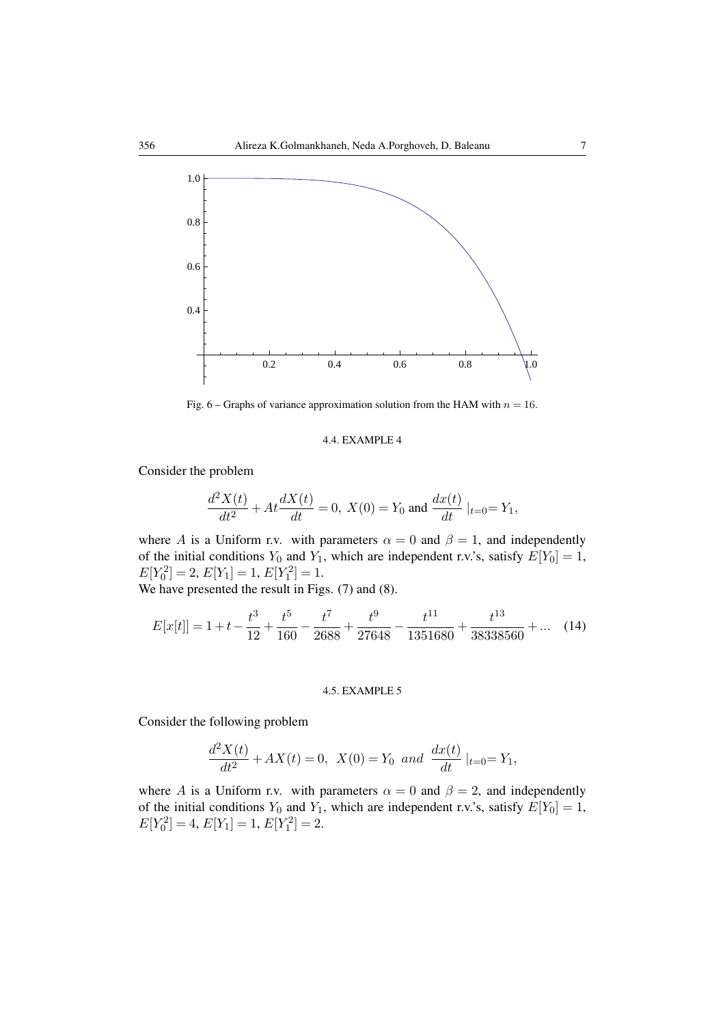

Fig. 6 – Graphs of variance approximation solution from the HAM with  $n = 16$ .

### 4.4. EXAMPLE 4

Consider the problem

$$
\frac{d^2X(t)}{dt^2} + At\frac{dX(t)}{dt} = 0, \ X(0) = Y_0 \text{ and } \frac{dx(t)}{dt}|_{t=0} = Y_1,
$$

where *A* is a Uniform r.v. with parameters  $\alpha = 0$  and  $\beta = 1$ , and independently of the initial conditions  $Y_0$  and  $Y_1$ , which are independent r.v.'s, satisfy  $E[Y_0] = 1$ ,  $E[Y_0^2] = 2, E[Y_1] = 1, E[Y_1^2] = 1.$ 

We have presented the result in Figs. (7) and (8).

$$
E[x[t]] = 1 + t - \frac{t^3}{12} + \frac{t^5}{160} - \frac{t^7}{2688} + \frac{t^9}{27648} - \frac{t^{11}}{1351680} + \frac{t^{13}}{38338560} + \dots (14)
$$

## 4.5. EXAMPLE 5

Consider the following problem

$$
\frac{d^2X(t)}{dt^2} + AX(t) = 0, \ X(0) = Y_0 \ and \ \frac{dx(t)}{dt}|_{t=0} = Y_1,
$$

where *A* is a Uniform r.v. with parameters  $\alpha = 0$  and  $\beta = 2$ , and independently of the initial conditions  $Y_0$  and  $Y_1$ , which are independent r.v.'s, satisfy  $E[Y_0] = 1$ ,  $E[Y_0^2] = 4, E[Y_1] = 1, E[Y_1^2] = 2.$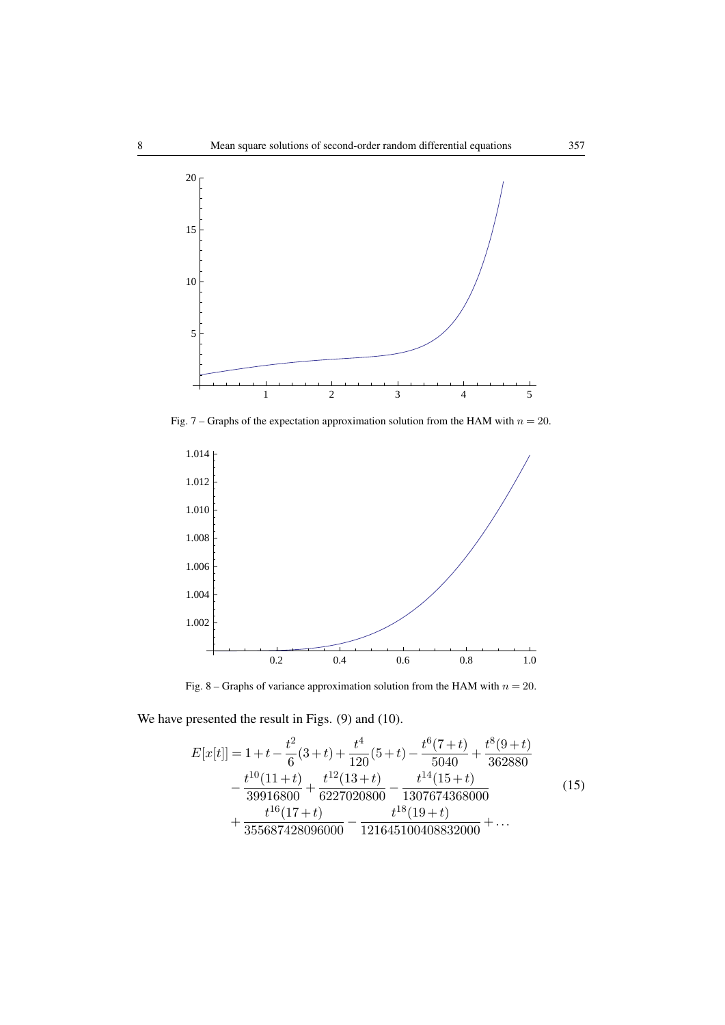

Fig. 7 – Graphs of the expectation approximation solution from the HAM with  $n = 20$ .



Fig. 8 – Graphs of variance approximation solution from the HAM with  $n = 20$ .

We have presented the result in Figs. (9) and (10).

$$
E[x[t]] = 1 + t - \frac{t^2}{6}(3+t) + \frac{t^4}{120}(5+t) - \frac{t^6(7+t)}{5040} + \frac{t^8(9+t)}{362880} - \frac{t^{10}(11+t)}{39916800} + \frac{t^{12}(13+t)}{6227020800} - \frac{t^{14}(15+t)}{1307674368000} + \frac{t^{16}(17+t)}{355687428096000} - \frac{t^{18}(19+t)}{121645100408832000} + \dots
$$
\n(15)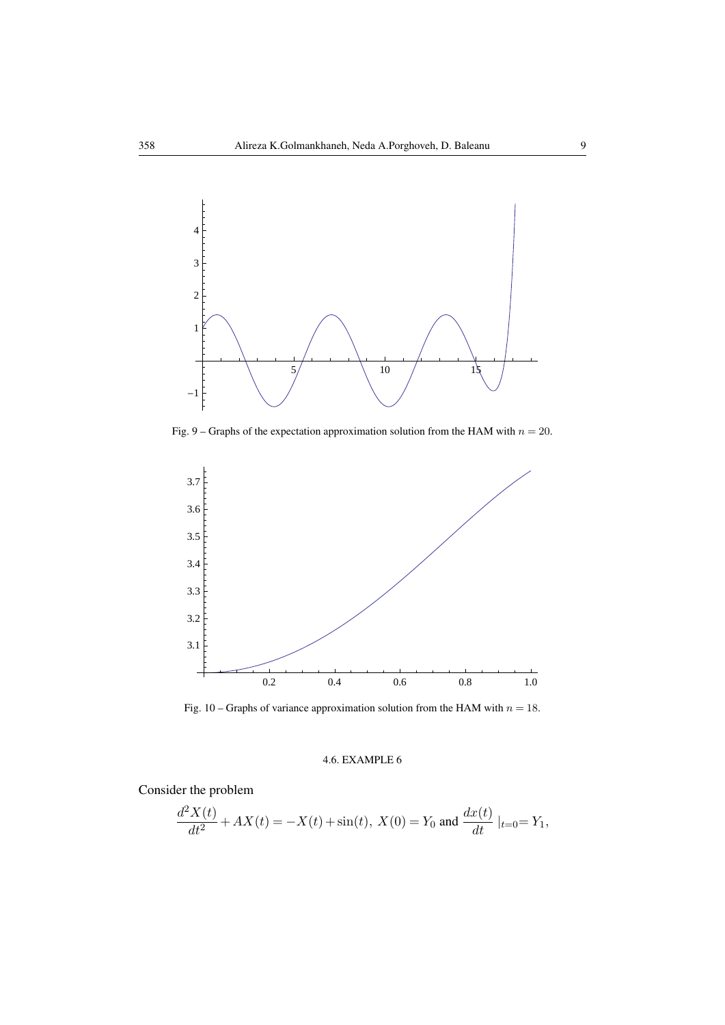

Fig. 9 – Graphs of the expectation approximation solution from the HAM with  $n = 20$ .



Fig. 10 – Graphs of variance approximation solution from the HAM with  $n = 18$ .

# 4.6. EXAMPLE 6

Consider the problem

$$
\frac{d^2X(t)}{dt^2} + AX(t) = -X(t) + \sin(t), \ X(0) = Y_0 \text{ and } \frac{dx(t)}{dt}|_{t=0} = Y_1,
$$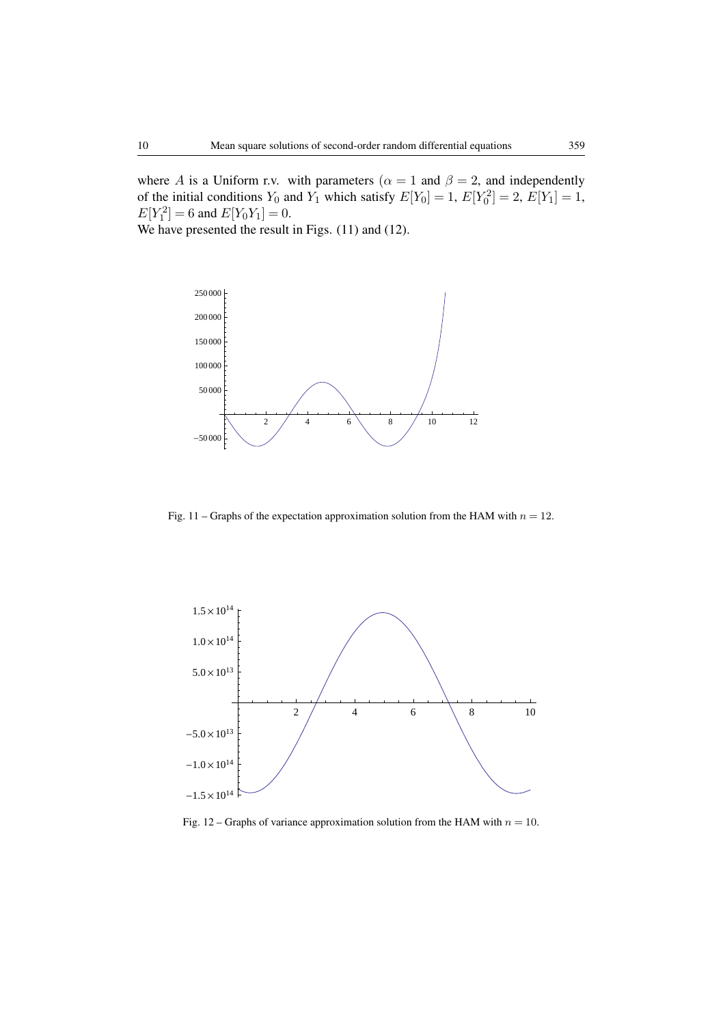where *A* is a Uniform r.v. with parameters ( $\alpha = 1$  and  $\beta = 2$ , and independently of the initial conditions  $Y_0$  and  $Y_1$  which satisfy  $E[Y_0] = 1$ ,  $E[Y_0^2] = 2$ ,  $E[Y_1] = 1$ ,  $E[Y_1^2] = 6$  and  $E[Y_0Y_1] = 0$ .

We have presented the result in Figs.  $(11)$  and  $(12)$ .



Fig. 11 – Graphs of the expectation approximation solution from the HAM with  $n = 12$ .



Fig. 12 – Graphs of variance approximation solution from the HAM with  $n = 10$ .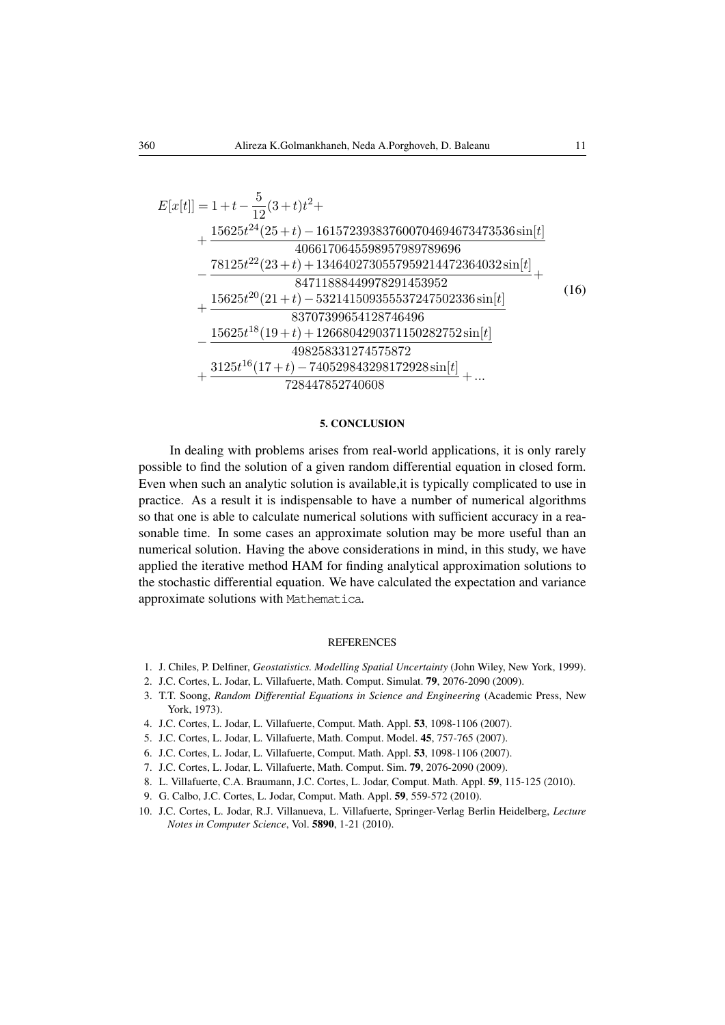$$
E[x[t]] = 1 + t - \frac{5}{12}(3+t)t^2 +
$$
  
+ 
$$
\frac{15625t^{24}(25+t) - 161572393837600704694673473536\sin[t]}{4066170645598957989789696}
$$
  
- 
$$
\frac{78125t^{22}(23+t) + 1346402730557959214472364032\sin[t]}{84711888449978291453952} +
$$
  
+ 
$$
\frac{15625t^{20}(21+t) - 532141509355537247502336\sin[t]}{83707399654128746496}
$$
  
- 
$$
\frac{15625t^{18}(19+t) + 1266804290371150282752\sin[t]}{498258331274575872} +
$$

$$
\frac{3125t^{16}(17+t) - 740529843298172928\sin[t]}{728447852740608} + ...
$$

### 5. CONCLUSION

In dealing with problems arises from real-world applications, it is only rarely possible to find the solution of a given random differential equation in closed form. Even when such an analytic solution is available,it is typically complicated to use in practice. As a result it is indispensable to have a number of numerical algorithms so that one is able to calculate numerical solutions with sufficient accuracy in a reasonable time. In some cases an approximate solution may be more useful than an numerical solution. Having the above considerations in mind, in this study, we have applied the iterative method HAM for finding analytical approximation solutions to the stochastic differential equation. We have calculated the expectation and variance approximate solutions with Mathematica.

#### REFERENCES

- 1. J. Chiles, P. Delfiner, *Geostatistics. Modelling Spatial Uncertainty* (John Wiley, New York, 1999).
- 2. J.C. Cortes, L. Jodar, L. Villafuerte, Math. Comput. Simulat. 79, 2076-2090 (2009).
- 3. T.T. Soong, *Random Differential Equations in Science and Engineering* (Academic Press, New York, 1973).
- 4. J.C. Cortes, L. Jodar, L. Villafuerte, Comput. Math. Appl. 53, 1098-1106 (2007).
- 5. J.C. Cortes, L. Jodar, L. Villafuerte, Math. Comput. Model. 45, 757-765 (2007).
- 6. J.C. Cortes, L. Jodar, L. Villafuerte, Comput. Math. Appl. 53, 1098-1106 (2007).
- 7. J.C. Cortes, L. Jodar, L. Villafuerte, Math. Comput. Sim. 79, 2076-2090 (2009).
- 8. L. Villafuerte, C.A. Braumann, J.C. Cortes, L. Jodar, Comput. Math. Appl. 59, 115-125 (2010).
- 9. G. Calbo, J.C. Cortes, L. Jodar, Comput. Math. Appl. 59, 559-572 (2010).
- 10. J.C. Cortes, L. Jodar, R.J. Villanueva, L. Villafuerte, Springer-Verlag Berlin Heidelberg, *Lecture Notes in Computer Science*, Vol. 5890, 1-21 (2010).